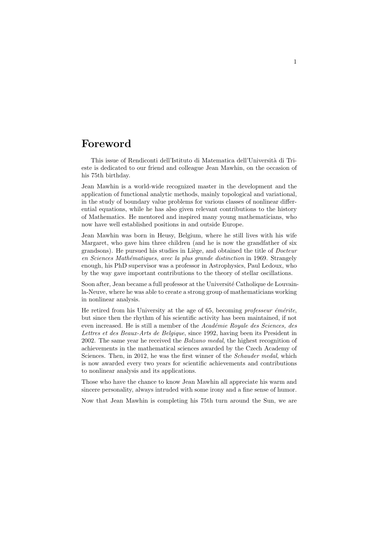## Foreword

This issue of Rendiconti dell'Istituto di Matematica dell'Universit`a di Trieste is dedicated to our friend and colleague Jean Mawhin, on the occasion of his 75th birthday.

Jean Mawhin is a world-wide recognized master in the development and the application of functional analytic methods, mainly topological and variational, in the study of boundary value problems for various classes of nonlinear differential equations, while he has also given relevant contributions to the history of Mathematics. He mentored and inspired many young mathematicians, who now have well established positions in and outside Europe.

Jean Mawhin was born in Heusy, Belgium, where he still lives with his wife Margaret, who gave him three children (and he is now the grandfather of six grandsons). He pursued his studies in Liège, and obtained the title of *Docteur* en Sciences Mathématiques, avec la plus grande distinction in 1969. Strangely enough, his PhD supervisor was a professor in Astrophysics, Paul Ledoux, who by the way gave important contributions to the theory of stellar oscillations.

Soon after, Jean became a full professor at the Université Catholique de Louvainla-Neuve, where he was able to create a strong group of mathematicians working in nonlinear analysis.

He retired from his University at the age of 65, becoming professeur  $\acute{e}$ m $\acute{e}$ rite, but since then the rhythm of his scientific activity has been maintained, if not even increased. He is still a member of the Académie Royale des Sciences, des Lettres et des Beaux-Arts de Belgique, since 1992, having been its President in 2002. The same year he received the Bolzano medal, the highest recognition of achievements in the mathematical sciences awarded by the Czech Academy of Sciences. Then, in 2012, he was the first winner of the *Schauder medal*, which is now awarded every two years for scientific achievements and contributions to nonlinear analysis and its applications.

Those who have the chance to know Jean Mawhin all appreciate his warm and sincere personality, always intruded with some irony and a fine sense of humor.

Now that Jean Mawhin is completing his 75th turn around the Sun, we are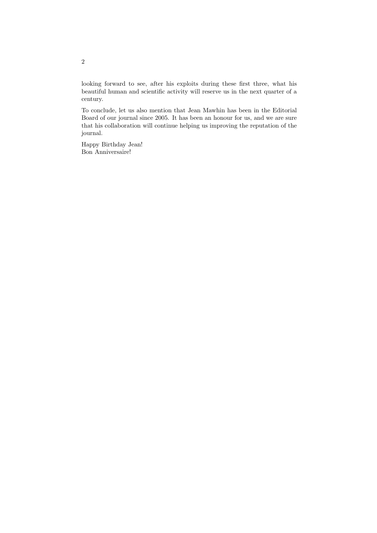looking forward to see, after his exploits during these first three, what his beautiful human and scientific activity will reserve us in the next quarter of a century.

To conclude, let us also mention that Jean Mawhin has been in the Editorial Board of our journal since 2005. It has been an honour for us, and we are sure that his collaboration will continue helping us improving the reputation of the journal.

Happy Birthday Jean! Bon Anniversaire!

2